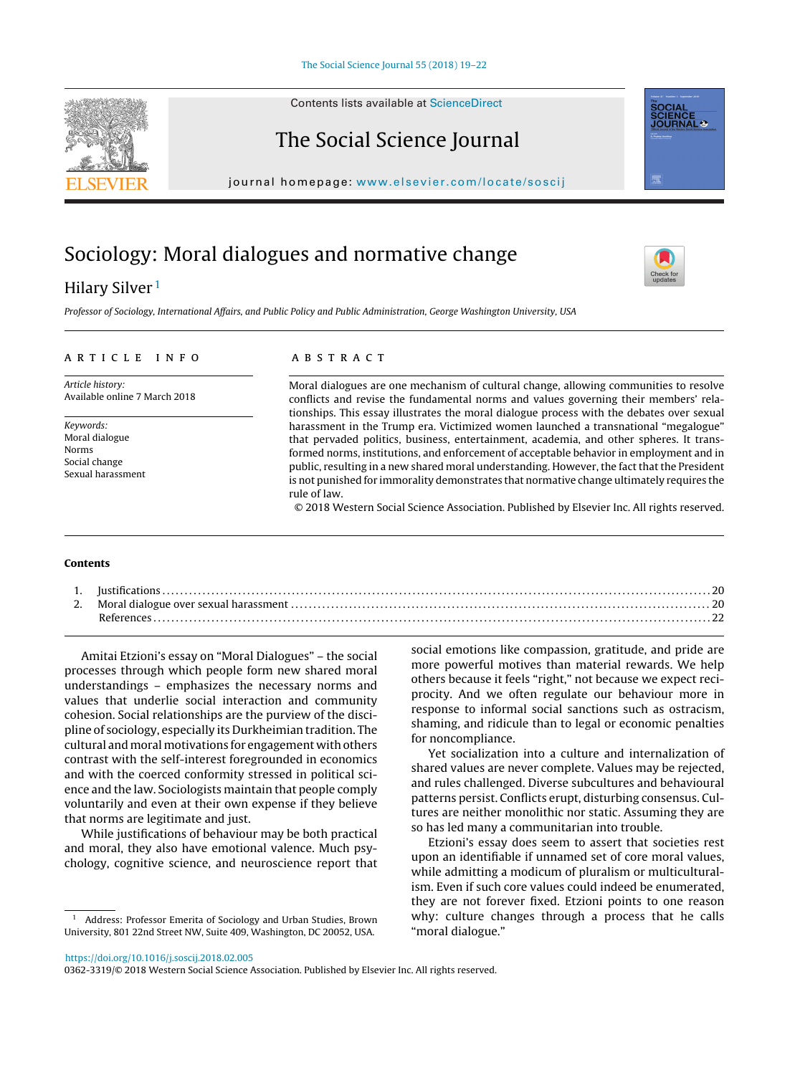Contents lists available at [ScienceDirect](http://www.sciencedirect.com/science/journal/03623319)



journal homepage: [www.elsevier.com/locate/soscij](http://www.elsevier.com/locate/soscij)

# Sociology: Moral dialogues and normative change

# Hilary Silver<sup>1</sup>

Professor of Sociology, International Affairs, and Public Policy and Public Administration, George Washington University, USA

## ARTICLE INFO

Article history: Available online 7 March 2018

Keywords: Moral dialogue Norms Social change Sexual harassment

## A B S T R A C T

Moral dialogues are one mechanism of cultural change, allowing communities to resolve conflicts and revise the fundamental norms and values governing their members' relationships. This essay illustrates the moral dialogue process with the debates over sexual harassment in the Trump era. Victimized women launched a transnational "megalogue" that pervaded politics, business, entertainment, academia, and other spheres. It transformed norms, institutions, and enforcement of acceptable behavior in employment and in public, resulting in a new shared moral understanding. However, the fact that the President is not punished for immorality demonstrates that normative change ultimately requires the rule of law.

© 2018 Western Social Science Association. Published by Elsevier Inc. All rights reserved.

#### **Contents**

Amitai Etzioni's essay on "Moral Dialogues" – the social processes through which people form new shared moral understandings – emphasizes the necessary norms and values that underlie social interaction and community cohesion. Social relationships are the purview of the discipline of sociology, especially its Durkheimian tradition. The cultural andmoralmotivations for engagement with others contrast with the self-interest foregrounded in economics and with the coerced conformity stressed in political science and the law. Sociologists maintain that people comply voluntarily and even at their own expense if they believe that norms are legitimate and just.

While justifications of behaviour may be both practical and moral, they also have emotional valence. Much psychology, cognitive science, and neuroscience report that

social emotions like compassion, gratitude, and pride are more powerful motives than material rewards. We help others because it feels "right," not because we expect reciprocity. And we often regulate our behaviour more in response to informal social sanctions such as ostracism, shaming, and ridicule than to legal or economic penalties for noncompliance.

Yet socialization into a culture and internalization of shared values are never complete. Values may be rejected, and rules challenged. Diverse subcultures and behavioural patterns persist. Conflicts erupt, disturbing consensus. Cultures are neither monolithic nor static. Assuming they are so has led many a communitarian into trouble.

Etzioni's essay does seem to assert that societies rest upon an identifiable if unnamed set of core moral values, while admitting a modicum of pluralism or multiculturalism. Even if such core values could indeed be enumerated, they are not forever fixed. Etzioni points to one reason why: culture changes through a process that he calls "moral dialogue."

<https://doi.org/10.1016/j.soscij.2018.02.005>







<sup>1</sup> Address: Professor Emerita of Sociology and Urban Studies, Brown University, 801 22nd Street NW, Suite 409, Washington, DC 20052, USA.

<sup>0362-3319/©</sup> 2018 Western Social Science Association. Published by Elsevier Inc. All rights reserved.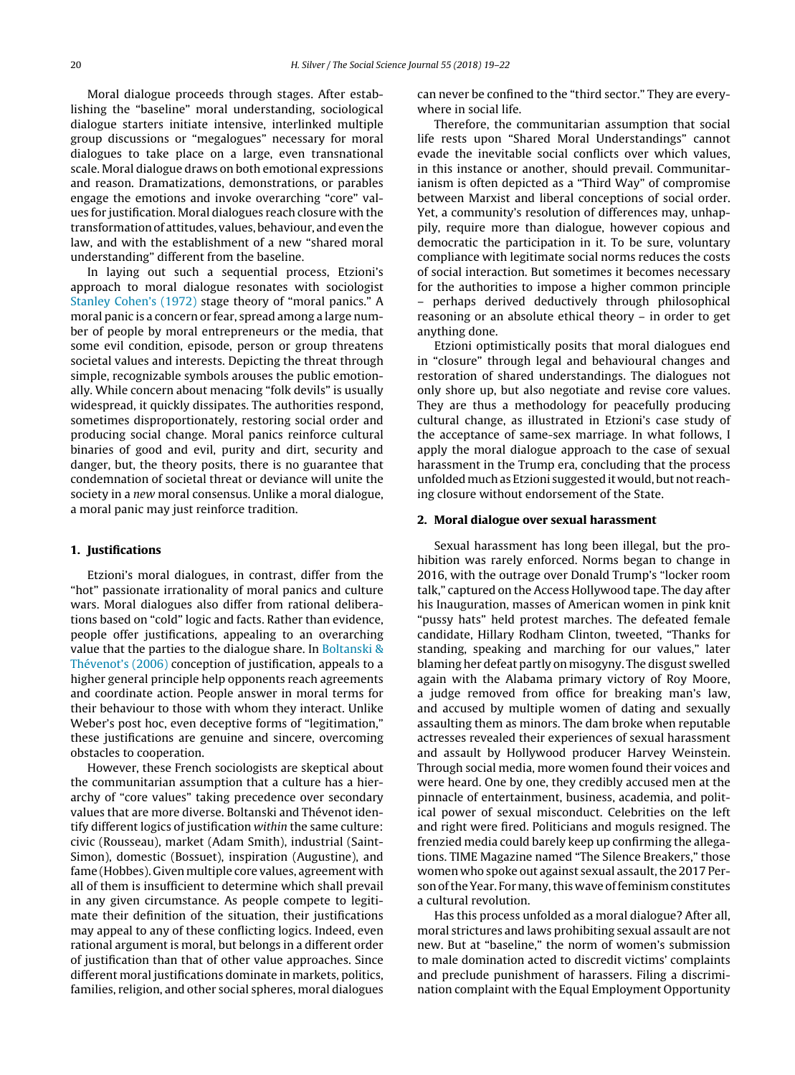Moral dialogue proceeds through stages. After establishing the "baseline" moral understanding, sociological dialogue starters initiate intensive, interlinked multiple group discussions or "megalogues" necessary for moral dialogues to take place on a large, even transnational scale. Moral dialogue draws on both emotional expressions and reason. Dramatizations, demonstrations, or parables engage the emotions and invoke overarching "core" values for justification. Moral dialogues reach closure with the transformationof attitudes, values, behaviour, andeventhe law, and with the establishment of a new "shared moral understanding" different from the baseline.

In laying out such a sequential process, Etzioni's approach to moral dialogue resonates with sociologist [Stanley](#page-3-0) [Cohen's](#page-3-0) [\(1972\)](#page-3-0) stage theory of "moral panics." A moral panic is a concern or fear, spread among a large number of people by moral entrepreneurs or the media, that some evil condition, episode, person or group threatens societal values and interests. Depicting the threat through simple, recognizable symbols arouses the public emotionally. While concern about menacing "folk devils" is usually widespread, it quickly dissipates. The authorities respond, sometimes disproportionately, restoring social order and producing social change. Moral panics reinforce cultural binaries of good and evil, purity and dirt, security and danger, but, the theory posits, there is no guarantee that condemnation of societal threat or deviance will unite the society in a new moral consensus. Unlike a moral dialogue, a moral panic may just reinforce tradition.

#### **1. Justifications**

Etzioni's moral dialogues, in contrast, differ from the "hot" passionate irrationality of moral panics and culture wars. Moral dialogues also differ from rational deliberations based on "cold" logic and facts. Rather than evidence, people offer justifications, appealing to an overarching value that the parties to the dialogue share. In [Boltanski](#page-3-0) [&](#page-3-0) [Thévenot's](#page-3-0) [\(2006\)](#page-3-0) conception of justification, appeals to a higher general principle help opponents reach agreements and coordinate action. People answer in moral terms for their behaviour to those with whom they interact. Unlike Weber's post hoc, even deceptive forms of "legitimation," these justifications are genuine and sincere, overcoming obstacles to cooperation.

However, these French sociologists are skeptical about the communitarian assumption that a culture has a hierarchy of "core values" taking precedence over secondary values that are more diverse. Boltanski and Thévenot identify different logics of justification within the same culture: civic (Rousseau), market (Adam Smith), industrial (Saint-Simon), domestic (Bossuet), inspiration (Augustine), and fame (Hobbes). Given multiple core values, agreement with all of them is insufficient to determine which shall prevail in any given circumstance. As people compete to legitimate their definition of the situation, their justifications may appeal to any of these conflicting logics. Indeed, even rational argument is moral, but belongs in a different order of justification than that of other value approaches. Since different moral justifications dominate in markets, politics, families, religion, and other social spheres, moral dialogues can never be confined to the "third sector." They are everywhere in social life.

Therefore, the communitarian assumption that social life rests upon "Shared Moral Understandings" cannot evade the inevitable social conflicts over which values, in this instance or another, should prevail. Communitarianism is often depicted as a "Third Way" of compromise between Marxist and liberal conceptions of social order. Yet, a community's resolution of differences may, unhappily, require more than dialogue, however copious and democratic the participation in it. To be sure, voluntary compliance with legitimate social norms reduces the costs of social interaction. But sometimes it becomes necessary for the authorities to impose a higher common principle – perhaps derived deductively through philosophical reasoning or an absolute ethical theory – in order to get anything done.

Etzioni optimistically posits that moral dialogues end in "closure" through legal and behavioural changes and restoration of shared understandings. The dialogues not only shore up, but also negotiate and revise core values. They are thus a methodology for peacefully producing cultural change, as illustrated in Etzioni's case study of the acceptance of same-sex marriage. In what follows, I apply the moral dialogue approach to the case of sexual harassment in the Trump era, concluding that the process unfolded much as Etzioni suggested it would, but not reaching closure without endorsement of the State.

#### **2. Moral dialogue over sexual harassment**

Sexual harassment has long been illegal, but the prohibition was rarely enforced. Norms began to change in 2016, with the outrage over Donald Trump's "locker room talk," captured on the Access Hollywood tape. The day after his Inauguration, masses of American women in pink knit "pussy hats" held protest marches. The defeated female candidate, Hillary Rodham Clinton, tweeted, "Thanks for standing, speaking and marching for our values," later blaming her defeat partly on misogyny. The disgust swelled again with the Alabama primary victory of Roy Moore, a judge removed from office for breaking man's law, and accused by multiple women of dating and sexually assaulting them as minors. The dam broke when reputable actresses revealed their experiences of sexual harassment and assault by Hollywood producer Harvey Weinstein. Through social media, more women found their voices and were heard. One by one, they credibly accused men at the pinnacle of entertainment, business, academia, and political power of sexual misconduct. Celebrities on the left and right were fired. Politicians and moguls resigned. The frenzied media could barely keep up confirming the allegations. TIME Magazine named "The Silence Breakers," those women who spoke out against sexual assault, the 2017 Person of the Year. For many, this wave of feminism constitutes a cultural revolution.

Has this process unfolded as a moral dialogue? After all, moral strictures and laws prohibiting sexual assault are not new. But at "baseline," the norm of women's submission to male domination acted to discredit victims' complaints and preclude punishment of harassers. Filing a discrimination complaint with the Equal Employment Opportunity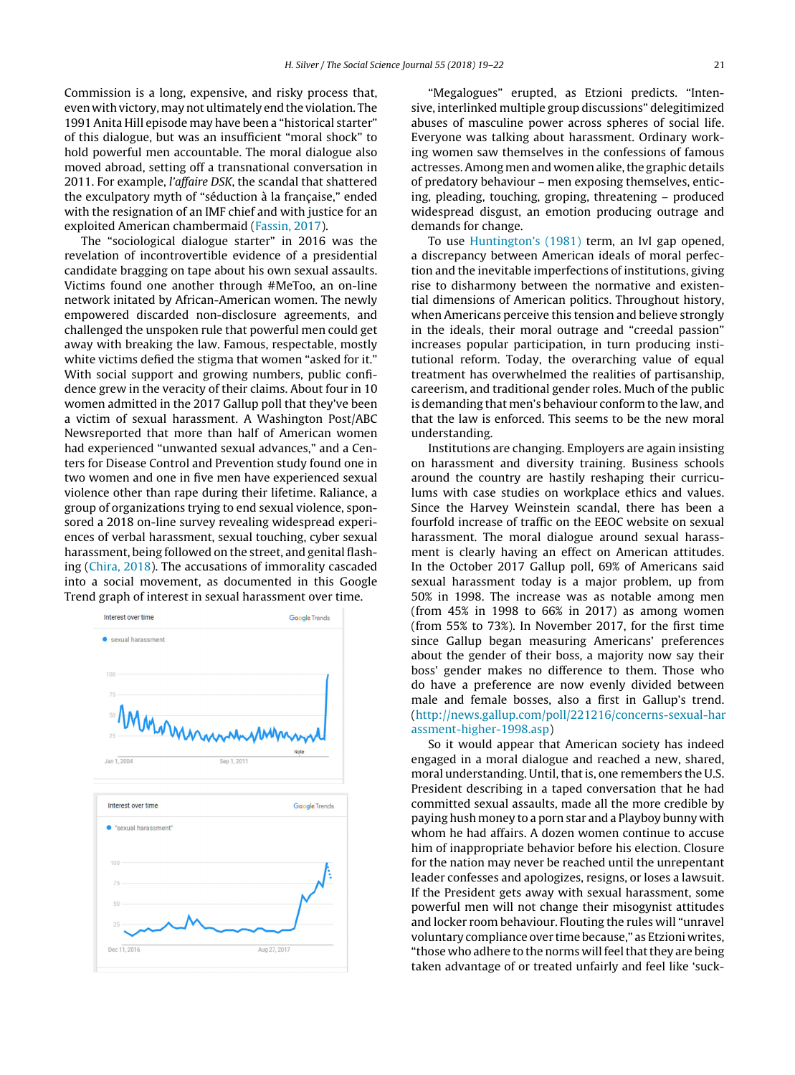Commission is a long, expensive, and risky process that, even withvictory,maynot ultimately end the violation. The 1991 Anita Hill episode may have been a "historical starter" of this dialogue, but was an insufficient "moral shock" to hold powerful men accountable. The moral dialogue also moved abroad, setting off a transnational conversation in 2011. For example, l'affaire DSK, the scandal that shattered the exculpatory myth of "séduction à la française," ended with the resignation of an IMF chief and with justice for an exploited American chambermaid ([Fassin,](#page-3-0) [2017\).](#page-3-0)

The "sociological dialogue starter" in 2016 was the revelation of incontrovertible evidence of a presidential candidate bragging on tape about his own sexual assaults. Victims found one another through #MeToo, an on-line network initated by African-American women. The newly empowered discarded non-disclosure agreements, and challenged the unspoken rule that powerful men could get away with breaking the law. Famous, respectable, mostly white victims defied the stigma that women "asked for it." With social support and growing numbers, public confidence grew in the veracity of their claims. About four in 10 women admitted in the 2017 Gallup poll that they've been a victim of sexual harassment. A Washington Post/ABC Newsreported that more than half of American women had experienced "unwanted sexual advances," and a Centers for Disease Control and Prevention study found one in two women and one in five men have experienced sexual violence other than rape during their lifetime. Raliance, a group of organizations trying to end sexual violence, sponsored a 2018 on-line survey revealing widespread experiences of verbal harassment, sexual touching, cyber sexual harassment, being followed on the street, and genital flashing [\(Chira,](#page-3-0) [2018\).](#page-3-0) The accusations of immorality cascaded into a social movement, as documented in this Google Trend graph of interest in sexual harassment over time.



"Megalogues" erupted, as Etzioni predicts. "Intensive, interlinked multiple group discussions" delegitimized abuses of masculine power across spheres of social life. Everyone was talking about harassment. Ordinary working women saw themselves in the confessions of famous actresses. Among men and women alike, the graphic details of predatory behaviour – men exposing themselves, enticing, pleading, touching, groping, threatening – produced widespread disgust, an emotion producing outrage and demands for change.

To use [Huntington's](#page-3-0) [\(1981\)](#page-3-0) term, an IvI gap opened, a discrepancy between American ideals of moral perfection and the inevitable imperfections of institutions, giving rise to disharmony between the normative and existential dimensions of American politics. Throughout history, when Americans perceive this tension and believe strongly in the ideals, their moral outrage and "creedal passion" increases popular participation, in turn producing institutional reform. Today, the overarching value of equal treatment has overwhelmed the realities of partisanship, careerism, and traditional gender roles. Much of the public is demanding that men's behaviour conform to the law, and that the law is enforced. This seems to be the new moral understanding.

Institutions are changing. Employers are again insisting on harassment and diversity training. Business schools around the country are hastily reshaping their curriculums with case studies on workplace ethics and values. Since the Harvey Weinstein scandal, there has been a fourfold increase of traffic on the EEOC website on sexual harassment. The moral dialogue around sexual harassment is clearly having an effect on American attitudes. In the October 2017 Gallup poll, 69% of Americans said sexual harassment today is a major problem, up from 50% in 1998. The increase was as notable among men (from 45% in 1998 to 66% in 2017) as among women (from 55% to 73%). In November 2017, for the first time since Gallup began measuring Americans' preferences about the gender of their boss, a majority now say their boss' gender makes no difference to them. Those who do have a preference are now evenly divided between male and female bosses, also a first in Gallup's trend. [\(http://news.gallup.com/poll/221216/concerns-sexual-har](http://news.gallup.com/poll/221216/concerns-sexual-harassment-higher-1998.asp) [assment-higher-1998.asp\)](http://news.gallup.com/poll/221216/concerns-sexual-harassment-higher-1998.asp)

So it would appear that American society has indeed engaged in a moral dialogue and reached a new, shared, moral understanding. Until, that is, one remembers the U.S. President describing in a taped conversation that he had committed sexual assaults, made all the more credible by paying hush money to a porn star and a Playboy bunny with whom he had affairs. A dozen women continue to accuse him of inappropriate behavior before his election. Closure for the nation may never be reached until the unrepentant leader confesses and apologizes, resigns, or loses a lawsuit. If the President gets away with sexual harassment, some powerful men will not change their misogynist attitudes and locker room behaviour. Flouting the rules will "unravel voluntary compliance over time because," as Etzioni writes, "those who adhere to the norms will feel that they are being taken advantage of or treated unfairly and feel like 'suck